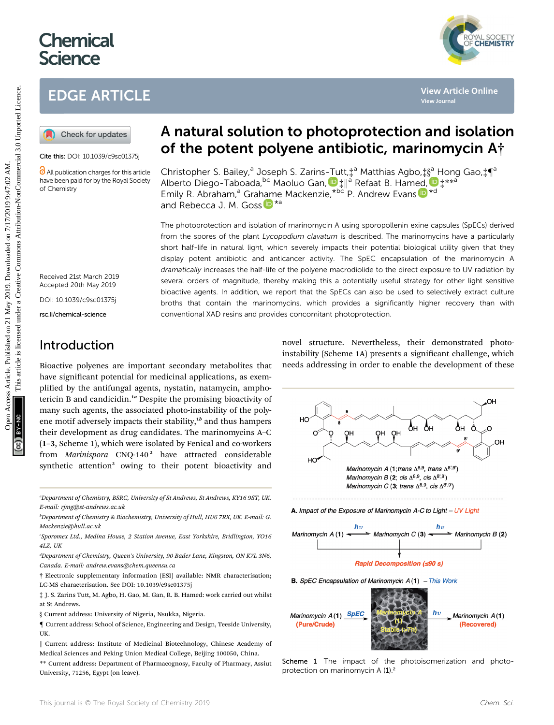# **Chemical Science**



# EDGE ARTICLE

Cite this: DOI: 10.1039/c9sc01375j

All publication charges for this article have been paid for by the Royal Society of Chemistry

Received 21st March 2019 Accepted 20th May 2019

DOI: 10.1039/c9sc01375j

rsc.li/chemical-science

# A natural solution to photoprotection and isolation of the potent polyene antibiotic, marinomycin A†

Christopher S. Bailey,<sup>a</sup> Joseph S. Zarins-Tutt,<sup>†a</sup> Matthias Agbo,‡[§](http://orcid.org/0000-0002-9160-9414)<sup>a</sup> Hong Gao,‡¶<sup>a</sup> Alberto Diego-Taboada[,](http://orcid.org/0000-0002-3089-8654) <sup>bc</sup> Maoluo Gan, D‡||<sup>a</sup> Refaat B. Ham[ed,](http://orcid.org/0000-0001-6609-5282) D‡ \*\*<sup>a</sup> Emily R. Abra[ham](http://orcid.org/0000-0001-9869-8205),<sup>a</sup> Grahame Mackenzie, \*bc P. Andrew Evans D \*d and Rebecca J. M. Goss  $\mathbb{D}^{*a}$ 

The photoprotection and isolation of marinomycin A using sporopollenin exine capsules (SpECs) derived from the spores of the plant *Lycopodium clavatum* is described. The marinomycins have a particularly short half-life in natural light, which severely impacts their potential biological utility given that they display potent antibiotic and anticancer activity. The SpEC encapsulation of the marinomycin A dramatically increases the half-life of the polyene macrodiolide to the direct exposure to UV radiation by several orders of magnitude, thereby making this a potentially useful strategy for other light sensitive bioactive agents. In addition, we report that the SpECs can also be used to selectively extract culture broths that contain the marinomycins, which provides a significantly higher recovery than with conventional XAD resins and provides concomitant photoprotection. EDGE ARTICLE<br> **(a)** Check forundates<br>
Consumer-state of **the potent polyene antibiotic, marinomycin A**<br>
Consumer-state points and **solution** to photoprotection and isolation<br>
Consumer-state Christopher S. Baley,<sup>3</sup> Joseph

### Introduction

Bioactive polyenes are important secondary metabolites that have significant potential for medicinal applications, as exemplified by the antifungal agents, nystatin, natamycin, amphotericin B and candicidin.<sup>1a</sup> Despite the promising bioactivity of many such agents, the associated photo-instability of the polyene motif adversely impacts their stability, $1<sup>b</sup>$  and thus hampers their development as drug candidates. The marinomycins A–C (1–3, Scheme 1), which were isolated by Fenical and co-workers from Marinispora CNQ-140<sup>2</sup> have attracted considerable synthetic attention<sup>3</sup> owing to their potent bioactivity and

a Department of Chemistry, BSRC, University of St Andrews, St Andrews, KY16 9ST, UK. E-mail: rjmg@st-andrews.ac.uk

b Department of Chemistry & Biochemistry, University of Hull, HU6 7RX, UK. E-mail: G. Mackenzie@hull.ac.uk

c Sporomex Ltd., Medina House, 2 Station Avenue, East Yorkshire, Bridlington, YO16 4LZ, UK

<sup>d</sup>Department of Chemistry, Queen's University, 90 Bader Lane, Kingston, ON K7L 3N6, Canada. E-mail: andrew.evans@chem.queensu.ca

† Electronic supplementary information (ESI) available: NMR characterisation; LC-MS characterisation. See DOI: 10.1039/c9sc01375j

‡ J. S. Zarins Tutt, M. Agbo, H. Gao, M. Gan, R. B. Hamed: work carried out whilst at St Andrews.

§ Current address: University of Nigeria, Nsukka, Nigeria.

{ Current address: School of Science, Engineering and Design, Teeside University, UK.

\*\* Current address: Department of Pharmacognosy, Faculty of Pharmacy, Assiut University, 71256, Egypt (on leave).

novel structure. Nevertheless, their demonstrated photoinstability (Scheme 1A) presents a significant challenge, which needs addressing in order to enable the development of these



<sup>||</sup> Current address: Institute of Medicinal Biotechnology, Chinese Academy of Medical Sciences and Peking Union Medical College, Beijing 100050, China.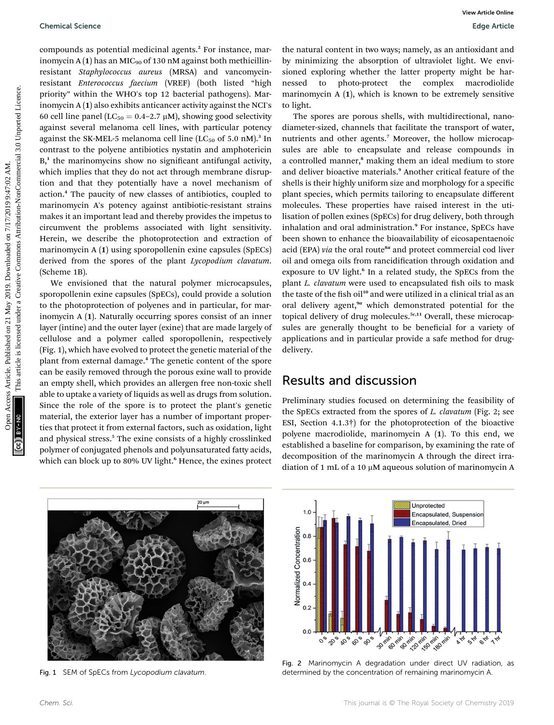compounds as potential medicinal agents.<sup>2</sup> For instance, marinomycin A  $(1)$  has an MIC<sub>90</sub> of 130 nM against both methicillinresistant Staphylococcus aureus (MRSA) and vancomycinresistant Enterococcus faecium (VREF) (both listed "high priority" within the WHO's top 12 bacterial pathogens). Marinomycin A (1) also exhibits anticancer activity against the NCI's 60 cell line panel ( $LC_{50} = 0.4 - 2.7 \mu M$ ), showing good selectivity against several melanoma cell lines, with particular potency against the SK-MEL-5 melanoma cell line  $(LC_{50}$  of 5.0 nM).<sup>3</sup> In contrast to the polyene antibiotics nystatin and amphotericin  $B<sub>1</sub><sup>1</sup>$  the marinomycins show no significant antifungal activity, which implies that they do not act through membrane disruption and that they potentially have a novel mechanism of action.<sup>4</sup> The paucity of new classes of antibiotics, coupled to marinomycin A's potency against antibiotic-resistant strains makes it an important lead and thereby provides the impetus to circumvent the problems associated with light sensitivity. Herein, we describe the photoprotection and extraction of marinomycin A (1) using sporopollenin exine capsules (SpECs) derived from the spores of the plant Lycopodium clavatum. (Scheme 1B).

We envisioned that the natural polymer microcapsules, sporopollenin exine capsules (SpECs), could provide a solution to the photoprotection of polyenes and in particular, for marinomycin A (1). Naturally occurring spores consist of an inner layer (intine) and the outer layer (exine) that are made largely of cellulose and a polymer called sporopollenin, respectively (Fig. 1), which have evolved to protect the genetic material of the plant from external damage.<sup>4</sup> The genetic content of the spore can be easily removed through the porous exine wall to provide an empty shell, which provides an allergen free non-toxic shell able to uptake a variety of liquids as well as drugs from solution. Since the role of the spore is to protect the plant's genetic material, the exterior layer has a number of important properties that protect it from external factors, such as oxidation, light and physical stress.<sup>5</sup> The exine consists of a highly crosslinked polymer of conjugated phenols and polyunsaturated fatty acids, which can block up to 80% UV light.<sup>6</sup> Hence, the exines protect

the natural content in two ways; namely, as an antioxidant and by minimizing the absorption of ultraviolet light. We envisioned exploring whether the latter property might be harnessed to photo-protect the complex macrodiolide marinomycin A (1), which is known to be extremely sensitive to light.

The spores are porous shells, with multidirectional, nanodiameter-sized, channels that facilitate the transport of water, nutrients and other agents.<sup>7</sup> Moreover, the hollow microcapsules are able to encapsulate and release compounds in a controlled manner,<sup>8</sup> making them an ideal medium to store and deliver bioactive materials.<sup>9</sup> Another critical feature of the shells is their highly uniform size and morphology for a specific plant species, which permits tailoring to encapsulate different molecules. These properties have raised interest in the utilisation of pollen exines (SpECs) for drug delivery, both through inhalation and oral administration.<sup>9</sup> For instance, SpECs have been shown to enhance the bioavailability of eicosapentaenoic acid (EPA) via the oral route $^{8a}$  and protect commercial cod liver oil and omega oils from rancidification through oxidation and exposure to UV light.<sup>6</sup> In a related study, the SpECs from the plant L. clavatum were used to encapsulated fish oils to mask the taste of the fish oil<sup>10</sup> and were utilized in a clinical trial as an oral delivery agent,<sup>9a</sup> which demonstrated potential for the topical delivery of drug molecules.<sup>5c,11</sup> Overall, these microcapsules are generally thought to be beneficial for a variety of applications and in particular provide a safe method for drugdelivery. Chemical Science<br>
Comparison for a constrained on 21 May 2019. Download appear to the most comparison of the symbol of the symbol of the symbol of the symbol of the symbol of the symbol of the symbol of the symbol of the

### Results and discussion

Preliminary studies focused on determining the feasibility of the SpECs extracted from the spores of *L. clavatum* (Fig. 2; see ESI, Section 4.1.3†) for the photoprotection of the bioactive polyene macrodiolide, marinomycin A (1). To this end, we established a baseline for comparison, by examining the rate of decomposition of the marinomycin A through the direct irradiation of 1 mL of a 10  $\mu$ M aqueous solution of marinomycin A



Fig. 1 SEM of SpECs from Lycopodium clavatum.



Fig. 2 Marinomycin A degradation under direct UV radiation, as determined by the concentration of remaining marinomycin A.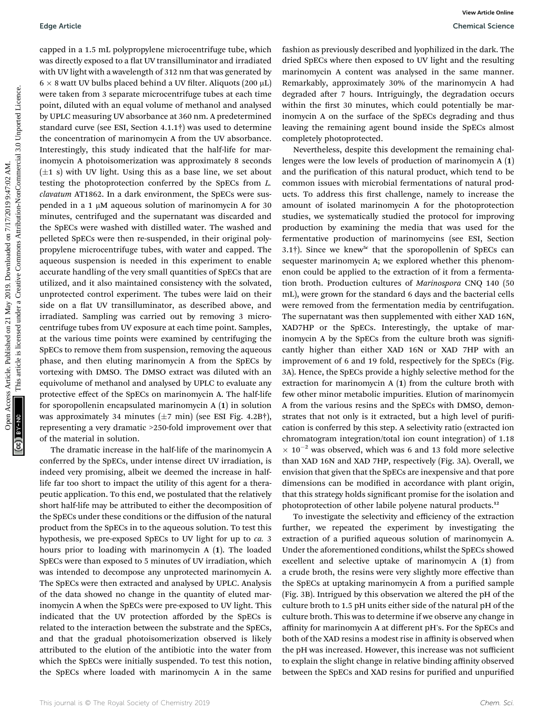capped in a 1.5 mL polypropylene microcentrifuge tube, which was directly exposed to a flat UV transilluminator and irradiated with UV light with a wavelength of 312 nm that was generated by  $6 \times 8$  watt UV bulbs placed behind a UV filter. Aliquots (200  $\upmu\rm{L})$ were taken from 3 separate microcentrifuge tubes at each time point, diluted with an equal volume of methanol and analysed by UPLC measuring UV absorbance at 360 nm. A predetermined standard curve (see ESI, Section 4.1.1†) was used to determine the concentration of marinomycin A from the UV absorbance. Interestingly, this study indicated that the half-life for marinomycin A photoisomerization was approximately 8 seconds  $(\pm 1 \text{ s})$  with UV light. Using this as a base line, we set about testing the photoprotection conferred by the SpECs from L. clavatum AT1862. In a dark environment, the SpECs were suspended in a 1  $\mu$ M aqueous solution of marinomycin A for 30 minutes, centrifuged and the supernatant was discarded and the SpECs were washed with distilled water. The washed and pelleted SpECs were then re-suspended, in their original polypropylene microcentrifuge tubes, with water and capped. The aqueous suspension is needed in this experiment to enable accurate handling of the very small quantities of SpECs that are utilized, and it also maintained consistency with the solvated, unprotected control experiment. The tubes were laid on their side on a flat UV transilluminator, as described above, and irradiated. Sampling was carried out by removing 3 microcentrifuge tubes from UV exposure at each time point. Samples, at the various time points were examined by centrifuging the SpECs to remove them from suspension, removing the aqueous phase, and then eluting marinomycin A from the SpECs by vortexing with DMSO. The DMSO extract was diluted with an equivolume of methanol and analysed by UPLC to evaluate any protective effect of the SpECs on marinomycin A. The half-life for sporopollenin encapsulated marinomycin A (1) in solution was approximately 34 minutes  $(\pm 7 \text{ min})$  (see ESI Fig. 4.2B†), representing a very dramatic >250-fold improvement over that of the material in solution. Edge Article<br>
Since the Constrained on the Viential Since Common Constrained on 21 May 2019. Download Since Common Access Article is like that the constrained on 21 May 2019. Download the Common Common Common Common Common

The dramatic increase in the half-life of the marinomycin A conferred by the SpECs, under intense direct UV irradiation, is indeed very promising, albeit we deemed the increase in halflife far too short to impact the utility of this agent for a therapeutic application. To this end, we postulated that the relatively short half-life may be attributed to either the decomposition of the SpECs under these conditions or the diffusion of the natural product from the SpECs in to the aqueous solution. To test this hypothesis, we pre-exposed SpECs to UV light for up to ca. 3 hours prior to loading with marinomycin A (1). The loaded SpECs were than exposed to 5 minutes of UV irradiation, which was intended to decompose any unprotected marinomycin A. The SpECs were then extracted and analysed by UPLC. Analysis of the data showed no change in the quantity of eluted marinomycin A when the SpECs were pre-exposed to UV light. This indicated that the UV protection afforded by the SpECs is related to the interaction between the substrate and the SpECs, and that the gradual photoisomerization observed is likely attributed to the elution of the antibiotic into the water from which the SpECs were initially suspended. To test this notion, the SpECs where loaded with marinomycin A in the same

fashion as previously described and lyophilized in the dark. The dried SpECs where then exposed to UV light and the resulting marinomycin A content was analysed in the same manner. Remarkably, approximately 30% of the marinomycin A had degraded after 7 hours. Intriguingly, the degradation occurs within the first 30 minutes, which could potentially be marinomycin A on the surface of the SpECs degrading and thus leaving the remaining agent bound inside the SpECs almost completely photoprotected.

Nevertheless, despite this development the remaining challenges were the low levels of production of marinomycin A (1) and the purification of this natural product, which tend to be common issues with microbial fermentations of natural products. To address this first challenge, namely to increase the amount of isolated marinomycin A for the photoprotection studies, we systematically studied the protocol for improving production by examining the media that was used for the fermentative production of marinomycins (see ESI, Section 3.1†). Since we knew<sup>5c</sup> that the sporopollenin of SpECs can sequester marinomycin A; we explored whether this phenomenon could be applied to the extraction of it from a fermentation broth. Production cultures of Marinospora CNQ 140 (50 mL), were grown for the standard 6 days and the bacterial cells were removed from the fermentation media by centrifugation. The supernatant was then supplemented with either XAD 16N, XAD7HP or the SpECs. Interestingly, the uptake of marinomycin A by the SpECs from the culture broth was significantly higher than either XAD 16N or XAD 7HP with an improvement of 6 and 19 fold, respectively for the SpECs (Fig. 3A). Hence, the SpECs provide a highly selective method for the extraction for marinomycin A (1) from the culture broth with few other minor metabolic impurities. Elution of marinomycin A from the various resins and the SpECs with DMSO, demonstrates that not only is it extracted, but a high level of purification is conferred by this step. A selectivity ratio (extracted ion chromatogram integration/total ion count integration) of 1.18  $\times$  10<sup>-2</sup> was observed, which was 6 and 13 fold more selective than XAD 16N and XAD 7HP, respectively (Fig. 3A). Overall, we envision that given that the SpECs are inexpensive and that pore dimensions can be modified in accordance with plant origin, that this strategy holds significant promise for the isolation and photoprotection of other labile polyene natural products.<sup>12</sup>

To investigate the selectivity and efficiency of the extraction further, we repeated the experiment by investigating the extraction of a purified aqueous solution of marinomycin A. Under the aforementioned conditions, whilst the SpECs showed excellent and selective uptake of marinomycin A (1) from a crude broth, the resins were very slightly more effective than the SpECs at uptaking marinomycin A from a purified sample (Fig. 3B). Intrigued by this observation we altered the pH of the culture broth to 1.5 pH units either side of the natural pH of the culture broth. This was to determine if we observe any change in affinity for marinomycin A at different pH's. For the SpECs and both of the XAD resins a modest rise in affinity is observed when the pH was increased. However, this increase was not sufficient to explain the slight change in relative binding affinity observed between the SpECs and XAD resins for purified and unpurified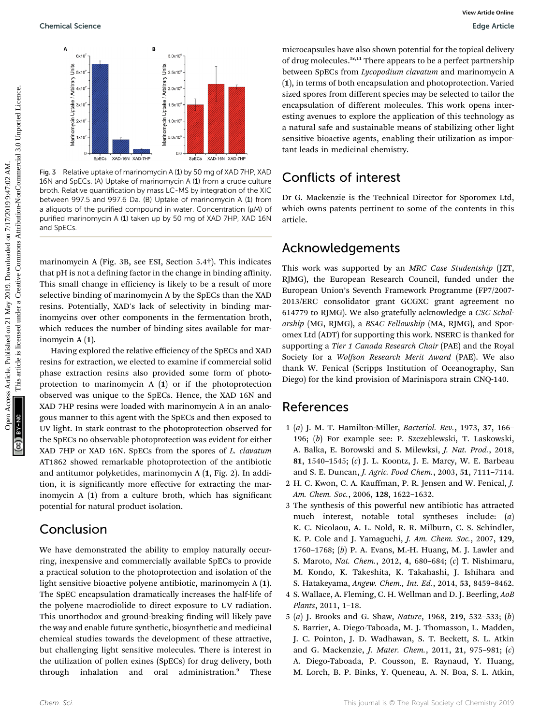

Fig. 3 Relative uptake of marinomycin A (1) by 50 mg of XAD 7HP, XAD 16N and SpECs. (A) Uptake of marinomycin A (1) from a crude culture broth. Relative quantification by mass LC-MS by integration of the XIC between 997.5 and 997.6 Da. (B) Uptake of marinomycin A (1) from a aliquots of the purified compound in water. Concentration  $(\mu M)$  of purified marinomycin A (1) taken up by 50 mg of XAD 7HP, XAD 16N and SpECs.

marinomycin A (Fig. 3B, see ESI, Section 5.4†). This indicates that pH is not a defining factor in the change in binding affinity. This small change in efficiency is likely to be a result of more selective binding of marinomycin A by the SpECs than the XAD resins. Potentially, XAD's lack of selectivity in binding marinomycins over other components in the fermentation broth, which reduces the number of binding sites available for marinomycin A (1).

Having explored the relative efficiency of the SpECs and XAD resins for extraction, we elected to examine if commercial solid phase extraction resins also provided some form of photoprotection to marinomycin A (1) or if the photoprotection observed was unique to the SpECs. Hence, the XAD 16N and XAD 7HP resins were loaded with marinomycin A in an analogous manner to this agent with the SpECs and then exposed to UV light. In stark contrast to the photoprotection observed for the SpECs no observable photoprotection was evident for either XAD 7HP or XAD 16N. SpECs from the spores of L. clavatum AT1862 showed remarkable photoprotection of the antibiotic and antitumor polyketides, marinomycin A (1, Fig. 2). In addition, it is significantly more effective for extracting the marinomycin  $A(1)$  from a culture broth, which has significant potential for natural product isolation.

## Conclusion

We have demonstrated the ability to employ naturally occurring, inexpensive and commercially available SpECs to provide a practical solution to the photoprotection and isolation of the light sensitive bioactive polyene antibiotic, marinomycin A (1). The SpEC encapsulation dramatically increases the half-life of the polyene macrodiolide to direct exposure to UV radiation. This unorthodox and ground-breaking finding will likely pave the way and enable future synthetic, biosynthetic and medicinal chemical studies towards the development of these attractive, but challenging light sensitive molecules. There is interest in the utilization of pollen exines (SpECs) for drug delivery, both through inhalation and oral administration.<sup>9</sup> These

microcapsules have also shown potential for the topical delivery of drug molecules.<sup>5c,11</sup> There appears to be a perfect partnership between SpECs from Lycopodium clavatum and marinomycin A (1), in terms of both encapsulation and photoprotection. Varied sized spores from different species may be selected to tailor the encapsulation of different molecules. This work opens interesting avenues to explore the application of this technology as a natural safe and sustainable means of stabilizing other light sensitive bioactive agents, enabling their utilization as important leads in medicinal chemistry.

## Conflicts of interest

Dr G. Mackenzie is the Technical Director for Sporomex Ltd, which owns patents pertinent to some of the contents in this article.

### Acknowledgements

This work was supported by an MRC Case Studentship (JZT, RJMG), the European Research Council, funded under the European Union's Seventh Framework Programme (FP7/2007- 2013/ERC consolidator grant GCGXC grant agreement no 614779 to RJMG). We also gratefully acknowledge a CSC Scholarship (MG, RJMG), a BSAC Fellowship (MA, RJMG), and Sporomex Ltd (ADT) for supporting this work. NSERC is thanked for supporting a Tier 1 Canada Research Chair (PAE) and the Royal Society for a Wolfson Research Merit Award (PAE). We also thank W. Fenical (Scripps Institution of Oceanography, San Diego) for the kind provision of Marinispora strain CNQ-140. Operation Science<br>  $\frac{3}{2}$  May 2019. Downloaded on 21 May 2019. Downloaded on 21 May 2019. Downloaded on 21 May 2019. Downloaded on 21 May 2019. Download and the common in the common in the common in the common in the c

### References

- 1 (a) J. M. T. Hamilton-Miller, Bacteriol. Rev., 1973, 37, 166– 196; (b) For example see: P. Szczeblewski, T. Laskowski, A. Balka, E. Borowski and S. Milewksi, J. Nat. Prod., 2018, 81, 1540–1545; (c) J. L. Koontz, J. E. Marcy, W. E. Barbeau and S. E. Duncan, J. Agric. Food Chem., 2003, 51, 7111–7114.
- 2 H. C. Kwon, C. A. Kauffman, P. R. Jensen and W. Fenical, J. Am. Chem. Soc., 2006, 128, 1622–1632.
- 3 The synthesis of this powerful new antibiotic has attracted much interest, notable total syntheses include: (a) K. C. Nicolaou, A. L. Nold, R. R. Milburn, C. S. Schindler, K. P. Cole and J. Yamaguchi, J. Am. Chem. Soc., 2007, 129, 1760–1768; (b) P. A. Evans, M.-H. Huang, M. J. Lawler and S. Maroto, Nat. Chem., 2012, 4, 680–684; (c) T. Nishimaru, M. Kondo, K. Takeshita, K. Takahashi, J. Ishihara and S. Hatakeyama, Angew. Chem., Int. Ed., 2014, 53, 8459–8462.
- 4 S. Wallace, A. Fleming, C. H. Wellman and D. J. Beerling, AoB Plants, 2011, 1–18.
- 5 (a) J. Brooks and G. Shaw, Nature, 1968, 219, 532–533; (b) S. Barrier, A. Diego-Taboada, M. J. Thomasson, L. Madden, J. C. Pointon, J. D. Wadhawan, S. T. Beckett, S. L. Atkin and G. Mackenzie, J. Mater. Chem., 2011, 21, 975–981; (c) A. Diego-Taboada, P. Cousson, E. Raynaud, Y. Huang, M. Lorch, B. P. Binks, Y. Queneau, A. N. Boa, S. L. Atkin,